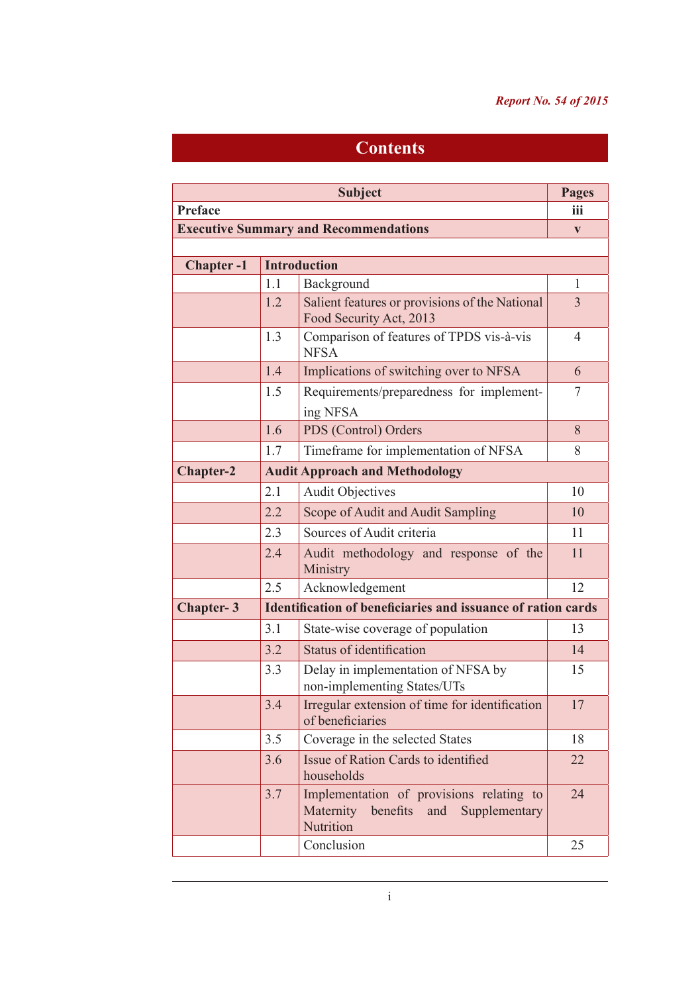## *Report No. 54 of 2015*

## **Contents**

| <b>Subject</b>                               |                                       |                                                                                                        | <b>Pages</b>   |  |
|----------------------------------------------|---------------------------------------|--------------------------------------------------------------------------------------------------------|----------------|--|
| Preface                                      |                                       |                                                                                                        | iii            |  |
| <b>Executive Summary and Recommendations</b> |                                       |                                                                                                        |                |  |
|                                              |                                       |                                                                                                        |                |  |
| <b>Chapter-1</b>                             |                                       | <b>Introduction</b>                                                                                    |                |  |
|                                              | 1.1                                   | Background                                                                                             | 1              |  |
|                                              | 1.2                                   | Salient features or provisions of the National<br>Food Security Act, 2013                              | $\overline{3}$ |  |
|                                              | 1.3                                   | Comparison of features of TPDS vis-à-vis<br><b>NFSA</b>                                                | $\overline{4}$ |  |
|                                              | 1.4                                   | Implications of switching over to NFSA                                                                 | 6              |  |
|                                              | 1.5                                   | Requirements/preparedness for implement-<br>ing NFSA                                                   | 7              |  |
|                                              | 1.6                                   | PDS (Control) Orders                                                                                   | 8              |  |
|                                              | 1.7                                   | Timeframe for implementation of NFSA                                                                   | 8              |  |
| <b>Chapter-2</b>                             | <b>Audit Approach and Methodology</b> |                                                                                                        |                |  |
|                                              | 2.1                                   | <b>Audit Objectives</b>                                                                                | 10             |  |
|                                              | 2.2                                   | Scope of Audit and Audit Sampling                                                                      | 10             |  |
|                                              | 2.3                                   | Sources of Audit criteria                                                                              | 11             |  |
|                                              | 2.4                                   | Audit methodology and response of the<br>Ministry                                                      | 11             |  |
|                                              | 2.5                                   | Acknowledgement                                                                                        | 12             |  |
| <b>Chapter-3</b>                             |                                       | <b>Identification of beneficiaries and issuance of ration cards</b>                                    |                |  |
|                                              | 3.1                                   | State-wise coverage of population                                                                      | 13             |  |
|                                              | 3.2                                   | Status of identification                                                                               | 14             |  |
|                                              | 3.3                                   | Delay in implementation of NFSA by<br>non-implementing States/UTs                                      | 15             |  |
|                                              | 3.4                                   | Irregular extension of time for identification<br>of beneficiaries                                     | 17             |  |
|                                              | 3.5                                   | Coverage in the selected States                                                                        | 18             |  |
|                                              | 3.6                                   | Issue of Ration Cards to identified<br>households                                                      | 22             |  |
|                                              | 3.7                                   | Implementation of provisions relating to<br>Maternity<br>benefits<br>and<br>Supplementary<br>Nutrition | 24             |  |
|                                              |                                       | Conclusion                                                                                             | 25             |  |